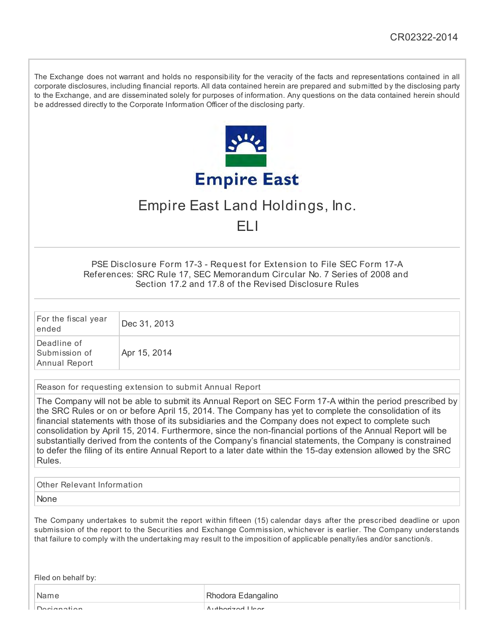The Exchange does not warrant and holds no responsibility for the veracity of the facts and representations contained in all corporate disclosures, including financial reports. All data contained herein are prepared and submitted by the disclosing party to the Exchange, and are disseminated solely for purposes of information. Any questions on the data contained herein should be addressed directly to the Corporate Information Officer of the disclosing party.



# Empire East Land Holdings, Inc.

ELI

PSE Disclosure Form 17-3 - Request for Extension to File SEC Form 17-A References: SRC Rule 17, SEC Memorandum Circular No. 7 Series of 2008 and Section 17.2 and 17.8 of the Revised Disclosure Rules

| For the fiscal year<br>ended                  | Dec 31, 2013 |
|-----------------------------------------------|--------------|
| Deadline of<br>Submission of<br>Annual Report | Apr 15, 2014 |

Reason for requesting extension to submit Annual Report

The Company will not be able to submit its Annual Report on SEC Form 17-A within the period prescribed by the SRC Rules or on or before April 15, 2014. The Company has yet to complete the consolidation of its financial statements with those of its subsidiaries and the Company does not expect to complete such consolidation by April 15, 2014. Furthermore, since the non-financial portions of the Annual Report will be substantially derived from the contents of the Company's financial statements, the Company is constrained to defer the filing of its entire Annual Report to a later date within the 15-day extension allowed by the SRC Rules.

| Other Relevant Information |  |
|----------------------------|--|
|----------------------------|--|

None

The Company undertakes to submit the report within fifteen (15) calendar days after the prescribed deadline or upon submission of the report to the Securities and Exchange Commission, whichever is earlier. The Company understands that failure to comply with the undertaking may result to the imposition of applicable penalty/ies and/or sanction/s.

Filed on behalf by:

Name Rhodora Edangalino

Designation Authorized User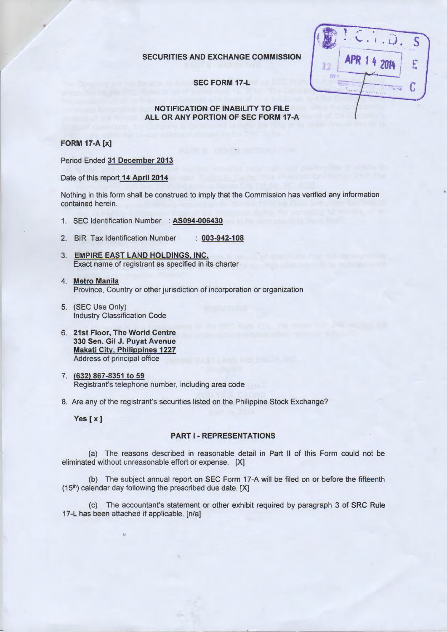#### SECURITIES AND EXCHANGE COMMISSION

SEC FORM 17-L

# ,- · '- • i • L). \$ I ---~ ,  $|$  APR 14 2014  $|$  E  $\frac{2014}{\frac{1}{25}}$

### NOTIFICATION OF INABILITY TO FILE ALL OR ANY PORTION OF SEC FORM 17-A

#### FORM 17-A [x]

Period Ended 31 December 2013

Date of this report 14 April 2014

Nothing in this form shall be construed to imply that the Commission has verified any information contained herein.

- 1. SEC Identification Number : AS094-006430
- 2. BIR Tax Identification Number : 003-942-108
- 3. EMPIRE EAST LAND HOLDINGS, INC. Exact name of registrant as specified in its charter
- 4. Metro Manila Province, Country or other jurisdiction of incorporation or organization
- 5. (SEC Use Only) Industry Classification Code
- 6. 21st Floor, The World Centre 330 Sen. Gil J. Puyat Avenue Makati City, Philippines 1227 Address of principal office
- 7. (632) 867-8351 to 59 Registrant's telephone number, including area code

8. Are any of the registrant's securities listed on the Philippine Stock Exchange?

Yes [x]

# PART 1- REPRESENTATIONS

(a) The reasons described in reasonable detail in Part II of this Form could not be eliminated without unreasonable effort or expense. [X]

(b) The subject annual report on SEC Form 17-A will be filed on or before the fifteenth (15<sup>th</sup>) calendar day following the prescribed due date. [X]

(c) The accountant's statement or other exhibit required by paragraph 3 of SRC Rule 17-L has been attached if applicable. [n/a]